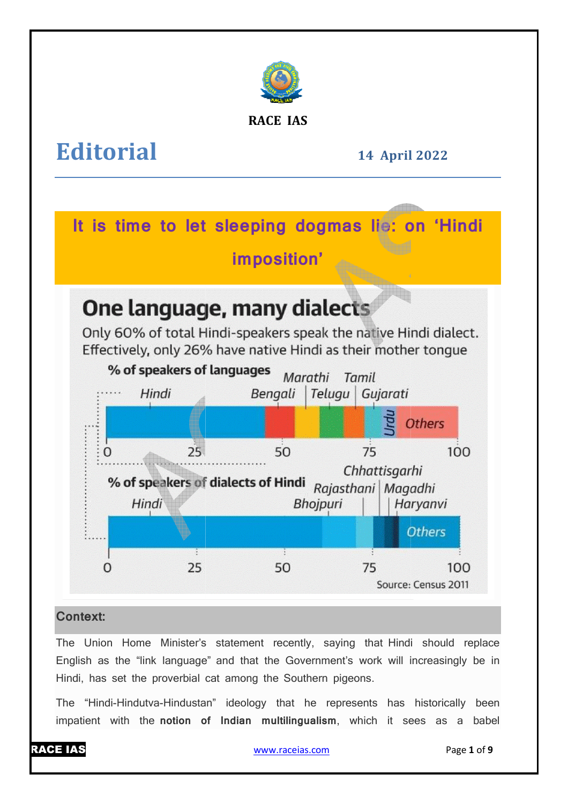

# **RACE IAS**

# **Editorial**

**14 April April 2022** 

**It is time to let sleeping dogmas lie: on 'Hindi** 

**imposition'** 

# **One language, many dialects**

Only 60% of total Hindi-speakers speak the native Hindi dialect. Effectively, only 26% have native Hindi as their mother tonque



# **Context:**

The Union Home Minister's statement recently, saying that Hindi should replace English as the "link language" and that the Government's work will increasingly be in Hindi, has set the proverbial cat among the Southern pigeons.

The "Hindi-Hindutva-Hindustan" ideology that he represents has historically been The "Hindi-Hindutva-Hindustan" ideology that he represents has historically been<br>impatient with the**notion of Indian multilingualism**, which it sees as a babel

# RACE IAS

www.raceias.com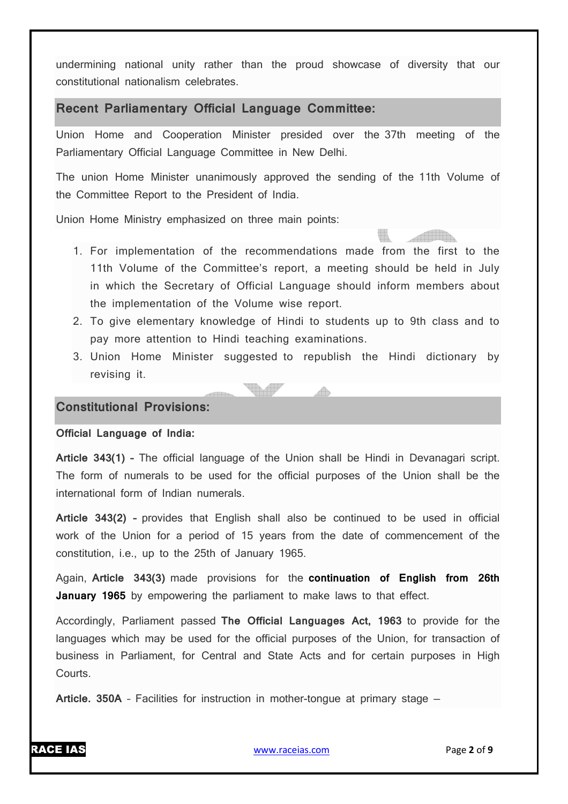undermining national unity rather than the proud showcase of diversity that our constitutional nationalism celebrates.

#### **Recent Parliamentary Official Language Committee:**

Union Home and Cooperation Minister presided over the 37th meeting of the Parliamentary Official Language Committee in New Delhi.

The union Home Minister unanimously approved the sending of the 11th Volume of the Committee Report to the President of India.

Union Home Ministry emphasized on three main points:

- 1. For implementation of the recommendations made from the first to the 11th Volume of the Committee's report, a meeting should be held in July in which the Secretary of Official Language should inform members about the implementation of the Volume wise report.
- 2. To give elementary knowledge of Hindi to students up to 9th class and to pay more attention to Hindi teaching examinations.
- 3. Union Home Minister suggested to republish the Hindi dictionary by revising it.

A

**TALL** 

#### **Constitutional Provisions:**

**Official Language of India:**

**Article 343(1) –** The official language of the Union shall be Hindi in Devanagari script. The form of numerals to be used for the official purposes of the Union shall be the international form of Indian numerals.

**Article 343(2) –** provides that English shall also be continued to be used in official work of the Union for a period of 15 years from the date of commencement of the constitution, i.e., up to the 25th of January 1965.

Again, **Article 343(3)** made provisions for the **continuation of English from 26th January 1965** by empowering the parliament to make laws to that effect.

Accordingly, Parliament passed **The Official Languages Act, 1963** to provide for the languages which may be used for the official purposes of the Union, for transaction of business in Parliament, for Central and State Acts and for certain purposes in High Courts.

**Article. 350A** – Facilities for instruction in mother-tongue at primary stage —

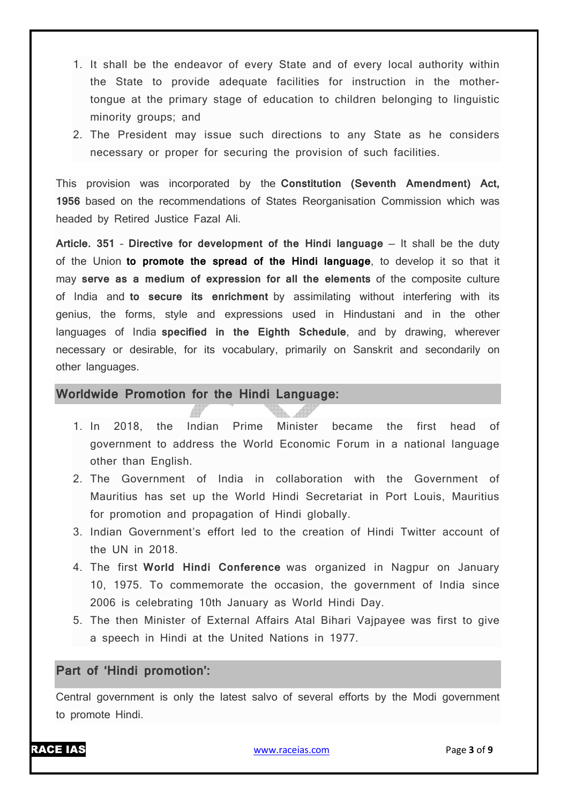- 1. It shall be the endeavor of every State and of every local authority within the State to provide adequate facilities for instruction in the mothertongue at the primary stage of education to children belonging to linguistic minority groups; and
- 2. The President may issue such directions to any State as he considers necessary or proper for securing the provision of such facilities.

This provision was incorporated by the **Constitution (Seventh Amendment) Act, 1956** based on the recommendations of States Reorganisation Commission which was headed by Retired Justice Fazal Ali.

**Article. 351** – **Directive for development of the Hindi language** — It shall be the duty of the Union **to promote the spread of the Hindi language**, to develop it so that it may **serve as a medium of expression for all the elements** of the composite culture of India and **to secure its enrichment** by assimilating without interfering with its genius, the forms, style and expressions used in Hindustani and in the other languages of India **specified in the Eighth Schedule**, and by drawing, wherever necessary or desirable, for its vocabulary, primarily on Sanskrit and secondarily on other languages.

#### **Worldwide Promotion for the Hindi Language:**

- 1. In 2018, the Indian Prime Minister became the first head of government to address the World Economic Forum in a national language other than English.
- 2. The Government of India in collaboration with the Government of Mauritius has set up the World Hindi Secretariat in Port Louis, Mauritius for promotion and propagation of Hindi globally.
- 3. Indian Government's effort led to the creation of Hindi Twitter account of the UN in 2018.
- 4. The first **World Hindi Conference** was organized in Nagpur on January 10, 1975. To commemorate the occasion, the government of India since 2006 is celebrating 10th January as World Hindi Day.
- 5. The then Minister of External Affairs Atal Bihari Vajpayee was first to give a speech in Hindi at the United Nations in 1977.

#### **Part of 'Hindi promotion':**

Central government is only the latest salvo of several efforts by the Modi government to promote Hindi.

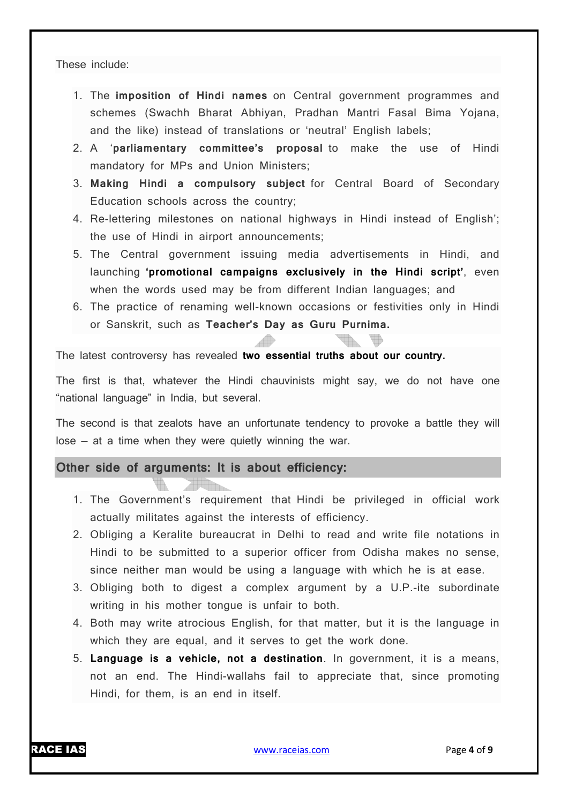These include:

- 1. The **imposition of Hindi names** on Central government programmes and schemes (Swachh Bharat Abhiyan, Pradhan Mantri Fasal Bima Yojana, and the like) instead of translations or 'neutral' English labels;
- 2. A '**parliamentary committee's proposal** to make the use of Hindi mandatory for MPs and Union Ministers;
- 3. **Making Hindi a compulsory subject** for Central Board of Secondary Education schools across the country;
- 4. Re-lettering milestones on national highways in Hindi instead of English'; the use of Hindi in airport announcements;
- 5. The Central government issuing media advertisements in Hindi, and launching **'promotional campaigns exclusively in the Hindi script'**, even when the words used may be from different Indian languages; and
- 6. The practice of renaming well-known occasions or festivities only in Hindi or Sanskrit, such as **Teacher's Day as Guru Purnima.**

The latest controversy has revealed **two essential truths about our country.**

The first is that, whatever the Hindi chauvinists might say, we do not have one "national language" in India, but several.

The second is that zealots have an unfortunate tendency to provoke a battle they will lose — at a time when they were quietly winning the war.

#### **Other side of arguments: It is about efficiency:**

- 1. The Government's requirement that Hindi be privileged in official work actually militates against the interests of efficiency.
- 2. Obliging a Keralite bureaucrat in Delhi to read and write file notations in Hindi to be submitted to a superior officer from Odisha makes no sense, since neither man would be using a language with which he is at ease.
- 3. Obliging both to digest a complex argument by a U.P.-ite subordinate writing in his mother tongue is unfair to both.
- 4. Both may write atrocious English, for that matter, but it is the language in which they are equal, and it serves to get the work done.
- 5. **Language is a vehicle, not a destination**. In government, it is a means, not an end. The Hindi-wallahs fail to appreciate that, since promoting Hindi, for them, is an end in itself.

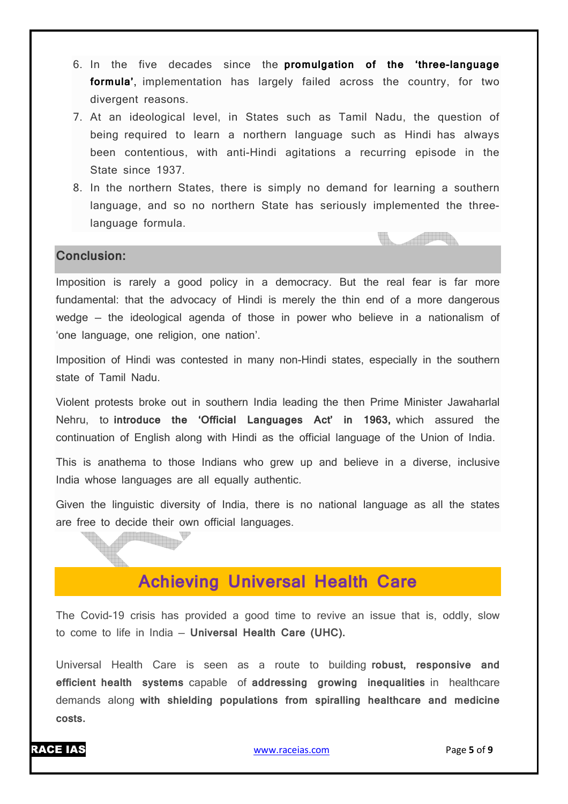- 6. In the five decades since the **promulgation of the 'three-language formula'**, implementation has largely failed across the country, for two divergent reasons.
- 7. At an ideological level, in States such as Tamil Nadu, the question of being required to learn a northern language such as Hindi has always been contentious, with anti-Hindi agitations a recurring episode in the State since 1937.
- 8. In the northern States, there is simply no demand for learning a southern language, and so no northern State has seriously implemented the threelanguage formula.

**TALLANDER** 

#### **Conclusion:**

<u>Hin</u>

Imposition is rarely a good policy in a democracy. But the real fear is far more fundamental: that the advocacy of Hindi is merely the thin end of a more dangerous wedge — the ideological agenda of those in power who believe in a nationalism of 'one language, one religion, one nation'.

Imposition of Hindi was contested in many non-Hindi states, especially in the southern state of Tamil Nadu.

Violent protests broke out in southern India leading the then Prime Minister Jawaharlal Nehru, to **introduce the 'Official Languages Act' in 1963,** which assured the continuation of English along with Hindi as the official language of the Union of India.

This is anathema to those Indians who grew up and believe in a diverse, inclusive India whose languages are all equally authentic.

Given the linguistic diversity of India, there is no national language as all the states are free to decide their own official languages.

# **Achieving Universal Health Care**

The Covid-19 crisis has provided a good time to revive an issue that is, oddly, slow to come to life in India — **Universal Health Care (UHC).**

Universal Health Care is seen as a route to building **robust, responsive and efficient health systems** capable of **addressing growing inequalities** in healthcare demands along **with shielding populations from spiralling healthcare and medicine costs.**

### RACE IAS www.raceias.com Page **5** of **9**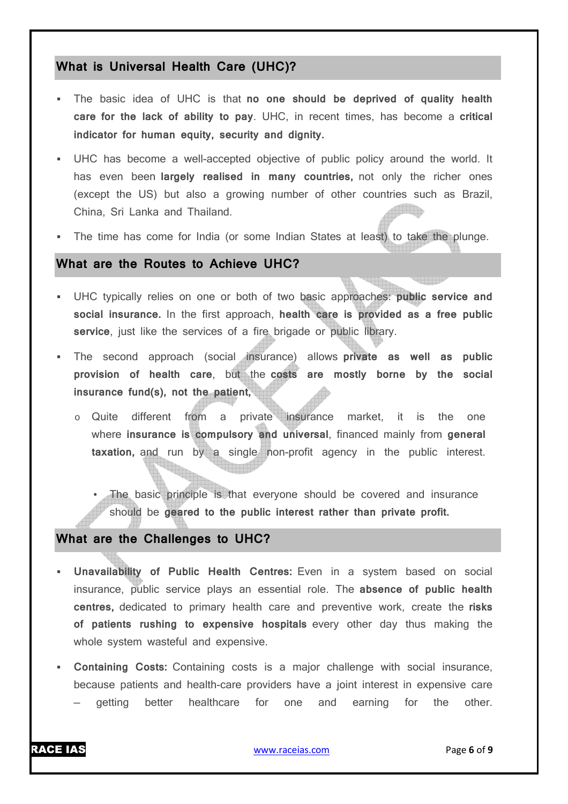# **What is Universal Health Care (UHC)?**

- The basic idea of UHC is that **no one should be deprived of quality health care for the lack of ability to pay**. UHC, in recent times, has become a **critical indicator for human equity, security and dignity.**
- UHC has become a well-accepted objective of public policy around the world. It has even been **largely realised in many countries,** not only the richer ones (except the US) but also a growing number of other countries such as Brazil, China, Sri Lanka and Thailand. **inseems**b.
- The time has come for India (or some Indian States at least) to take the plunge.

# **What are the Routes to Achieve UHC?**

- UHC typically relies on one or both of two basic approaches: **public service and social insurance.** In the first approach, **health care is provided as a free public service**, just like the services of a fire brigade or public library.
- The second approach (social insurance) allows **private as well as public provision of health care**, but the **costs are mostly borne by the social insurance fund(s), not the patient,**
	- o Quite different from a private insurance market, it is the one where **insurance is compulsory and universal**, financed mainly from **general taxation,** and run by a single non-profit agency in the public interest.

• The basic principle is that everyone should be covered and insurance should be **geared to the public interest rather than private profit.**

#### **What are the Challenges to UHC?**

- **Unavailability of Public Health Centres:** Even in a system based on social insurance, public service plays an essential role. The **absence of public health centres,** dedicated to primary health care and preventive work, create the **risks of patients rushing to expensive hospitals** every other day thus making the whole system wasteful and expensive.
- **Containing Costs:** Containing costs is a major challenge with social insurance, because patients and health-care providers have a joint interest in expensive care — getting better healthcare for one and earning for the other.

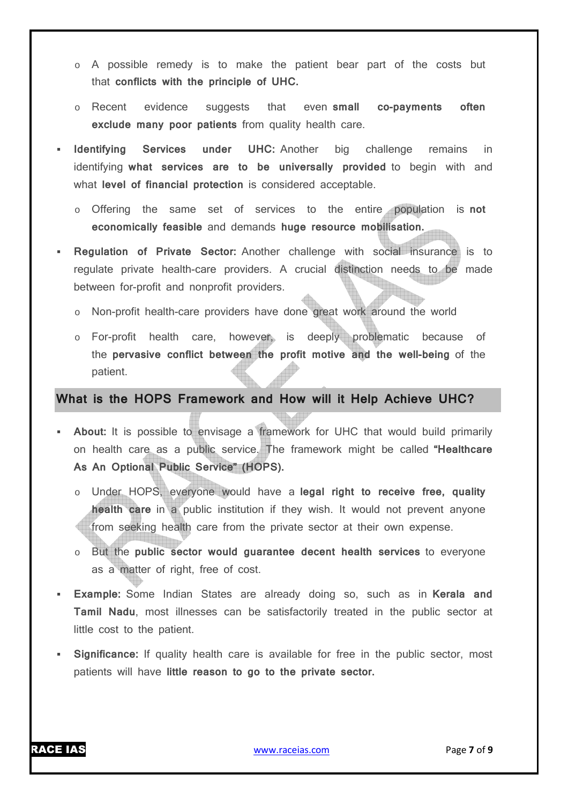- o A possible remedy is to make the patient bear part of the costs but that **conflicts with the principle of UHC.**
- o Recent evidence suggests that even **small co-payments often exclude many poor patients** from quality health care.
- **Identifying Services under UHC:** Another big challenge remains in identifying **what services are to be universally provided** to begin with and what **level of financial protection** is considered acceptable.
	- o Offering the same set of services to the entire population is **not economically feasible** and demands **huge resource mobilisation.**
- **Regulation of Private Sector:** Another challenge with social insurance is to regulate private health-care providers. A crucial distinction needs to be made between for-profit and nonprofit providers.
	- o Non-profit health-care providers have done great work around the world
	- o For-profit health care, however, is deeply problematic because of the **pervasive conflict between the profit motive and the well-being** of the patient.

### **What is the HOPS Framework and How will it Help Achieve UHC?**

- **About:** It is possible to envisage a framework for UHC that would build primarily on health care as a public service. The framework might be called **"Healthcare As An Optional Public Service" (HOPS).**
	- o Under HOPS, everyone would have a **legal right to receive free, quality health care** in a public institution if they wish. It would not prevent anyone from seeking health care from the private sector at their own expense.
	- o But the **public sector would guarantee decent health services** to everyone as a matter of right, free of cost.
- **Example:** Some Indian States are already doing so, such as in **Kerala and Tamil Nadu**, most illnesses can be satisfactorily treated in the public sector at little cost to the patient.
- **Significance:** If quality health care is available for free in the public sector, most patients will have **little reason to go to the private sector.**

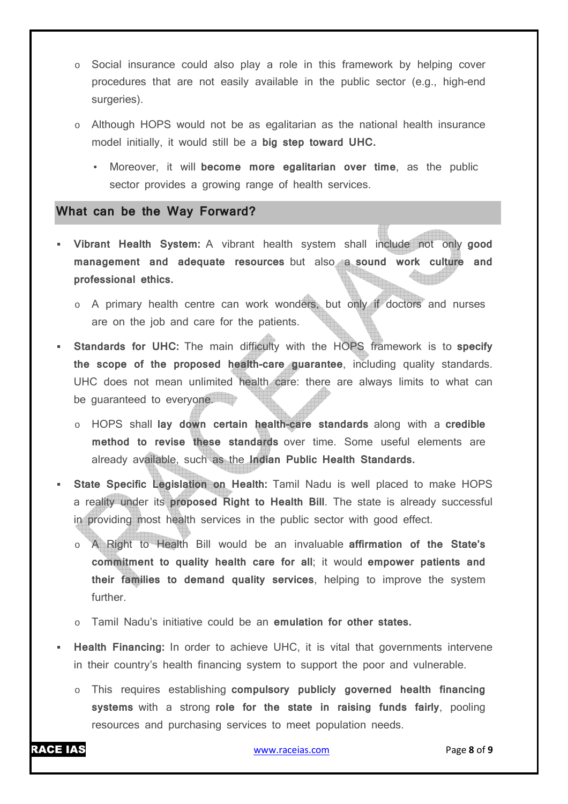- o Social insurance could also play a role in this framework by helping cover procedures that are not easily available in the public sector (e.g., high-end surgeries).
- o Although HOPS would not be as egalitarian as the national health insurance model initially, it would still be a **big step toward UHC.**
	- Moreover, it will **become more egalitarian over time**, as the public sector provides a growing range of health services.

#### **What can be the Way Forward?**

- **Vibrant Health System:** A vibrant health system shall include not only **good management and adequate resources** but also a **sound work culture and professional ethics.**
	- o A primary health centre can work wonders, but only if doctors and nurses are on the job and care for the patients.
- **Standards for UHC:** The main difficulty with the HOPS framework is to **specify the scope of the proposed health-care guarantee**, including quality standards. UHC does not mean unlimited health care: there are always limits to what can be quaranteed to everyone.
	- o HOPS shall **lay down certain health-care standards** along with a **credible method to revise these standards** over time. Some useful elements are already available, such as the **Indian Public Health Standards.**
- **State Specific Legislation on Health:** Tamil Nadu is well placed to make HOPS a reality under its **proposed Right to Health Bill**. The state is already successful in providing most health services in the public sector with good effect.
	- o A Right to Health Bill would be an invaluable **affirmation of the State's commitment to quality health care for all**; it would **empower patients and their families to demand quality services**, helping to improve the system further.
	- Tamil Nadu's initiative could be an **emulation for other states.**
- **Health Financing:** In order to achieve UHC, it is vital that governments intervene in their country's health financing system to support the poor and vulnerable.
	- o This requires establishing **compulsory publicly governed health financing systems** with a strong **role for the state in raising funds fairly**, pooling resources and purchasing services to meet population needs.